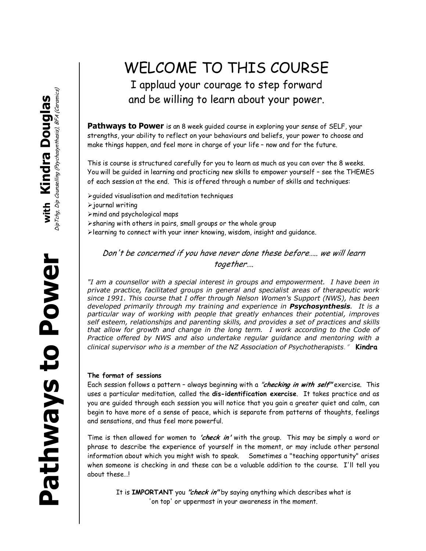## WELCOME TO THIS COURSE I applaud your courage to step forward and be willing to learn about your power.

**Pathways to Power** is an 8 week quided course in exploring your sense of SELF, your strengths, your ability to reflect on your behaviours and beliefs, your power to choose and make things happen, and feel more in charge of your life – now and for the future.

This is course is structured carefully for you to learn as much as you can over the 8 weeks. You will be guided in learning and practicing new skills to empower yourself – see the THEMES of each session at the end. This is offered through a number of skills and techniques:

- $\triangleright$  quided visualisation and meditation techniques
- $\triangleright$  journal writing
- $\triangleright$  mind and psychological maps
- $\triangleright$ sharing with others in pairs, small groups or the whole group
- $\blacktriangleright$  learning to connect with your inner knowing, wisdom, insight and guidance.

Don't be concerned if you have never done these before….. we will learn together….

*"I am a counsellor with a special interest in groups and empowerment. I have been in private practice, facilitated groups in general and specialist areas of therapeutic work since 1991. This course that I offer through Nelson Women's Support (NWS), has been developed primarily through my training and experience in Psychosynthesis. It is a particular way of working with people that greatly enhances their potential, improves self esteem, relationships and parenting skills, and provides a set of practices and skills that allow for growth and change in the long term. I work according to the Code of Practice offered by NWS and also undertake regular guidance and mentoring with a clinical supervisor who is a member of the NZ Association of Psychotherapists*." **Kindra**

## **The format of sessions**

Each session follows a pattern – always beginning with a "**checking in with self"** exercise. This uses a particular meditation, called the **dis-identification exercise**. It takes practice and as you are guided through each session you will notice that you gain a greater quiet and calm, can begin to have more of a sense of peace, which is separate from patterns of thoughts, feelings and sensations, and thus feel more powerful.

Time is then allowed for women to **'check in'** with the group. This may be simply a word or phrase to describe the experience of yourself in the moment, or may include other personal information about which you might wish to speak. Sometimes a "teaching opportunity" arises when someone is checking in and these can be a valuable addition to the course. I'll tell you about these…!

It is **IMPORTANT** you **"check in"** by saying anything which describes what is 'on top' or uppermost in your awareness in the moment.